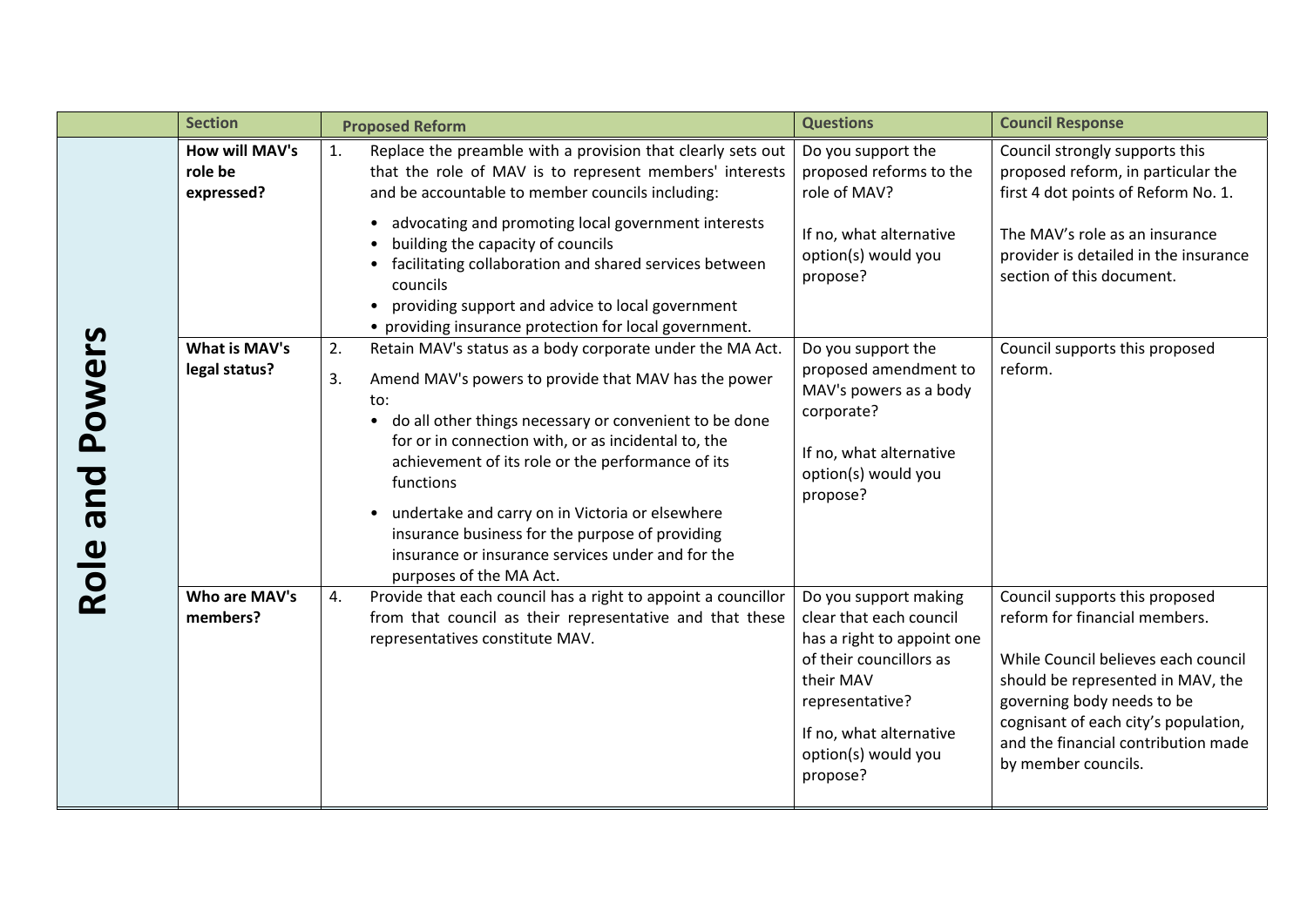|                       | <b>Section</b>                                 | <b>Proposed Reform</b>                                                                                                                                                                                                                                                                                                                                                                                                                                                                                                     | <b>Questions</b>                                                                                                                                                                                        | <b>Council Response</b>                                                                                                                                                                                                                                                         |
|-----------------------|------------------------------------------------|----------------------------------------------------------------------------------------------------------------------------------------------------------------------------------------------------------------------------------------------------------------------------------------------------------------------------------------------------------------------------------------------------------------------------------------------------------------------------------------------------------------------------|---------------------------------------------------------------------------------------------------------------------------------------------------------------------------------------------------------|---------------------------------------------------------------------------------------------------------------------------------------------------------------------------------------------------------------------------------------------------------------------------------|
| Powers<br>pue<br>Role | <b>How will MAV's</b><br>role be<br>expressed? | Replace the preamble with a provision that clearly sets out<br>1.<br>that the role of MAV is to represent members' interests<br>and be accountable to member councils including:                                                                                                                                                                                                                                                                                                                                           | Do you support the<br>proposed reforms to the<br>role of MAV?                                                                                                                                           | Council strongly supports this<br>proposed reform, in particular the<br>first 4 dot points of Reform No. 1.                                                                                                                                                                     |
|                       |                                                | advocating and promoting local government interests<br>$\bullet$<br>building the capacity of councils<br>facilitating collaboration and shared services between<br>councils<br>providing support and advice to local government<br>• providing insurance protection for local government.                                                                                                                                                                                                                                  | If no, what alternative<br>option(s) would you<br>propose?                                                                                                                                              | The MAV's role as an insurance<br>provider is detailed in the insurance<br>section of this document.                                                                                                                                                                            |
|                       | What is MAV's<br>legal status?                 | Retain MAV's status as a body corporate under the MA Act.<br>2.<br>Amend MAV's powers to provide that MAV has the power<br>3.<br>to:<br>do all other things necessary or convenient to be done<br>$\bullet$<br>for or in connection with, or as incidental to, the<br>achievement of its role or the performance of its<br>functions<br>undertake and carry on in Victoria or elsewhere<br>insurance business for the purpose of providing<br>insurance or insurance services under and for the<br>purposes of the MA Act. | Do you support the<br>proposed amendment to<br>MAV's powers as a body<br>corporate?<br>If no, what alternative<br>option(s) would you<br>propose?                                                       | Council supports this proposed<br>reform.                                                                                                                                                                                                                                       |
|                       | Who are MAV's<br>members?                      | Provide that each council has a right to appoint a councillor<br>4.<br>from that council as their representative and that these<br>representatives constitute MAV.                                                                                                                                                                                                                                                                                                                                                         | Do you support making<br>clear that each council<br>has a right to appoint one<br>of their councillors as<br>their MAV<br>representative?<br>If no, what alternative<br>option(s) would you<br>propose? | Council supports this proposed<br>reform for financial members.<br>While Council believes each council<br>should be represented in MAV, the<br>governing body needs to be<br>cognisant of each city's population,<br>and the financial contribution made<br>by member councils. |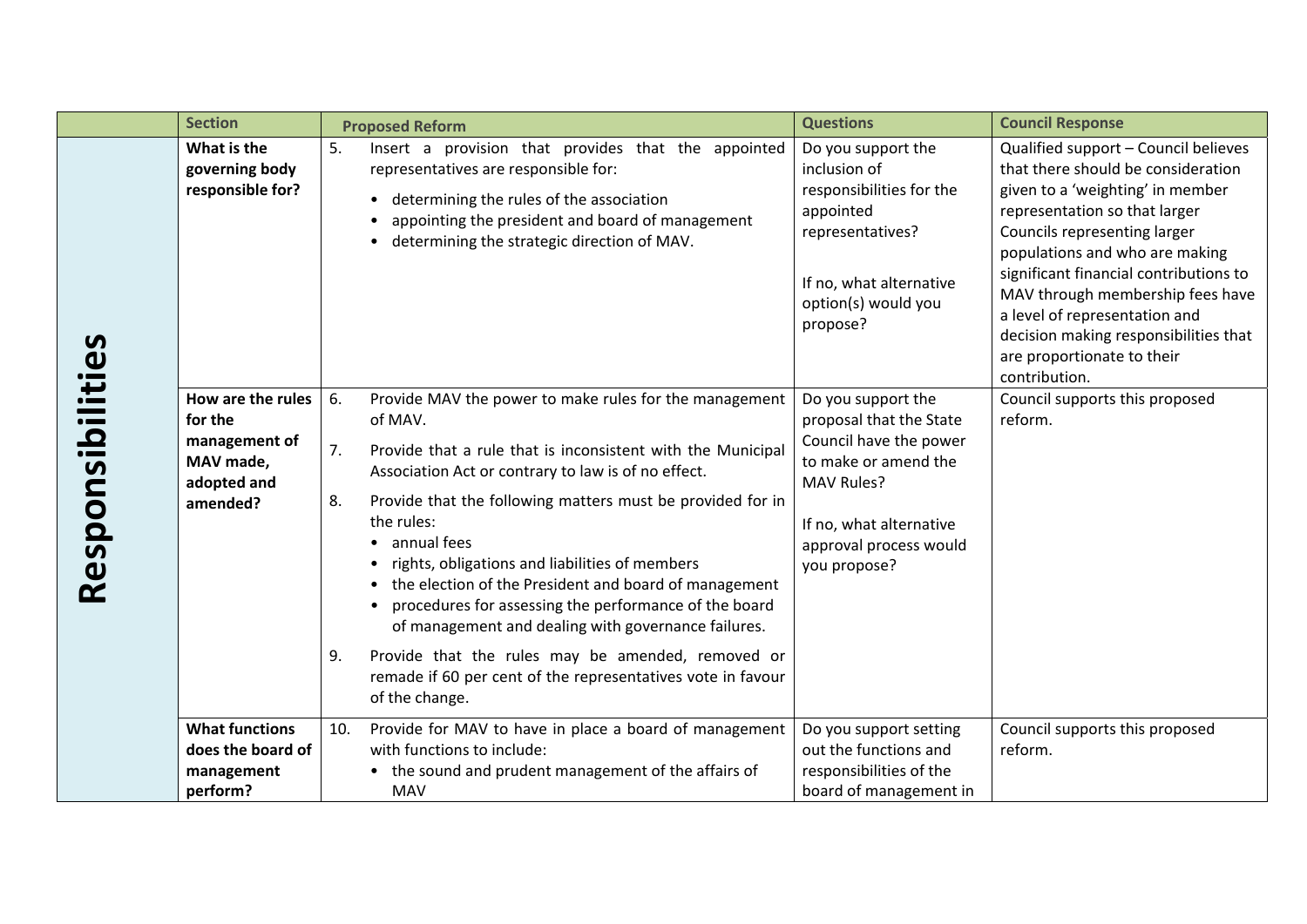|                  | <b>Section</b>                                                                        | <b>Proposed Reform</b>                                                                                                                                                                                                                                                                                                                                                                                                                                                                                                                                                                                                                                                                                | <b>Questions</b>                                                                                                                                                                          | <b>Council Response</b>                                                                                                                                                                                                                                                                                                                                                                                                  |
|------------------|---------------------------------------------------------------------------------------|-------------------------------------------------------------------------------------------------------------------------------------------------------------------------------------------------------------------------------------------------------------------------------------------------------------------------------------------------------------------------------------------------------------------------------------------------------------------------------------------------------------------------------------------------------------------------------------------------------------------------------------------------------------------------------------------------------|-------------------------------------------------------------------------------------------------------------------------------------------------------------------------------------------|--------------------------------------------------------------------------------------------------------------------------------------------------------------------------------------------------------------------------------------------------------------------------------------------------------------------------------------------------------------------------------------------------------------------------|
| Responsibilities | What is the<br>governing body<br>responsible for?                                     | 5.<br>Insert a provision that provides that the appointed<br>representatives are responsible for:<br>determining the rules of the association<br>$\bullet$<br>appointing the president and board of management<br>determining the strategic direction of MAV.<br>$\bullet$                                                                                                                                                                                                                                                                                                                                                                                                                            | Do you support the<br>inclusion of<br>responsibilities for the<br>appointed<br>representatives?<br>If no, what alternative<br>option(s) would you<br>propose?                             | Qualified support - Council believes<br>that there should be consideration<br>given to a 'weighting' in member<br>representation so that larger<br>Councils representing larger<br>populations and who are making<br>significant financial contributions to<br>MAV through membership fees have<br>a level of representation and<br>decision making responsibilities that<br>are proportionate to their<br>contribution. |
|                  | How are the rules<br>for the<br>management of<br>MAV made,<br>adopted and<br>amended? | 6.<br>Provide MAV the power to make rules for the management<br>of MAV.<br>Provide that a rule that is inconsistent with the Municipal<br>7.<br>Association Act or contrary to law is of no effect.<br>Provide that the following matters must be provided for in<br>8.<br>the rules:<br>annual fees<br>$\bullet$<br>rights, obligations and liabilities of members<br>the election of the President and board of management<br>procedures for assessing the performance of the board<br>$\bullet$<br>of management and dealing with governance failures.<br>Provide that the rules may be amended, removed or<br>9.<br>remade if 60 per cent of the representatives vote in favour<br>of the change. | Do you support the<br>proposal that the State<br>Council have the power<br>to make or amend the<br><b>MAV Rules?</b><br>If no, what alternative<br>approval process would<br>you propose? | Council supports this proposed<br>reform.                                                                                                                                                                                                                                                                                                                                                                                |
|                  | <b>What functions</b><br>does the board of<br>management<br>perform?                  | Provide for MAV to have in place a board of management<br>10.<br>with functions to include:<br>the sound and prudent management of the affairs of<br><b>MAV</b>                                                                                                                                                                                                                                                                                                                                                                                                                                                                                                                                       | Do you support setting<br>out the functions and<br>responsibilities of the<br>board of management in                                                                                      | Council supports this proposed<br>reform.                                                                                                                                                                                                                                                                                                                                                                                |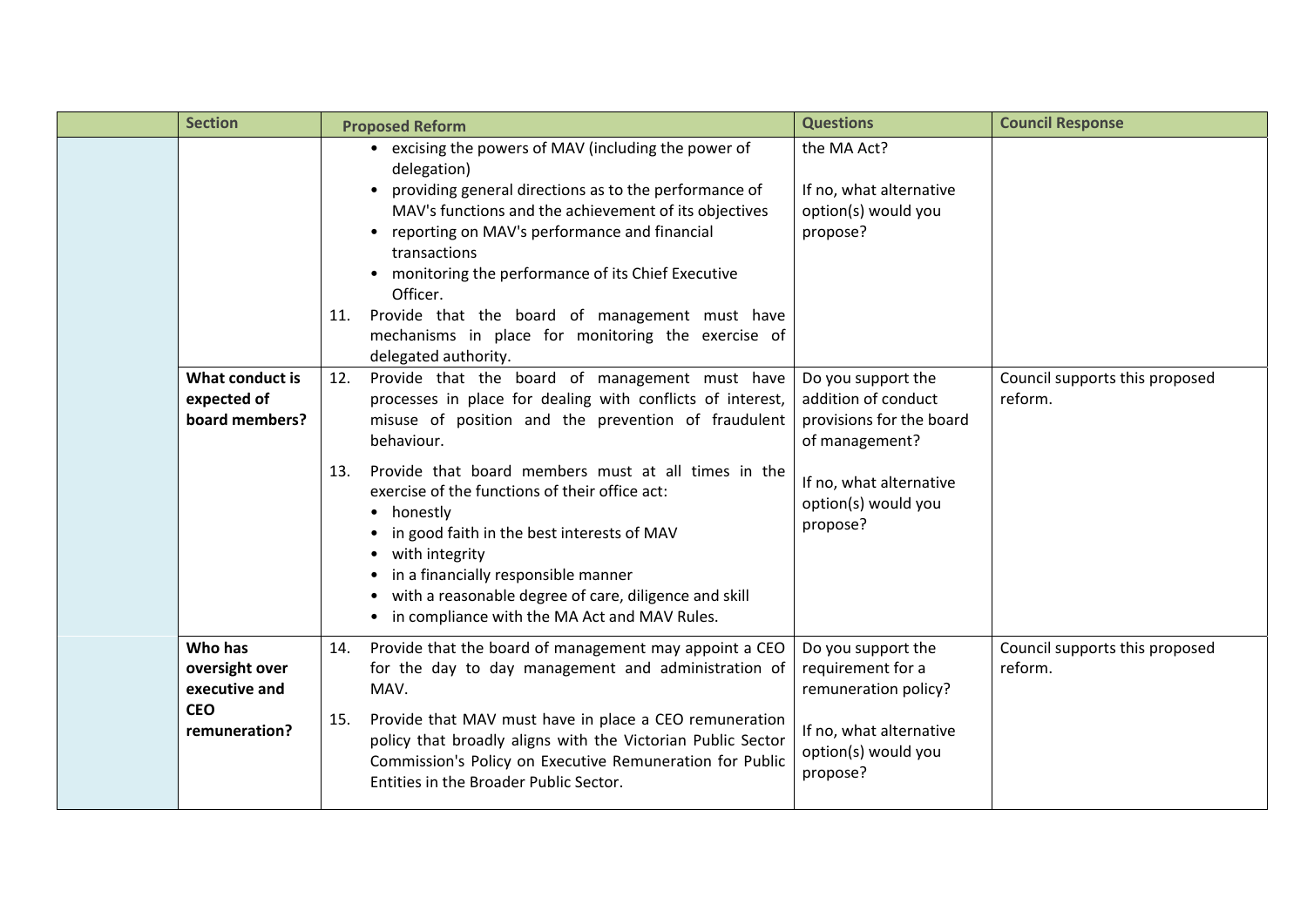| <b>Section</b>                                                            | <b>Proposed Reform</b>                                                                                                                                                                                                                                                                                                                                                                                                                                                                                                                 | <b>Questions</b>                                                                                                                                      | <b>Council Response</b>                   |
|---------------------------------------------------------------------------|----------------------------------------------------------------------------------------------------------------------------------------------------------------------------------------------------------------------------------------------------------------------------------------------------------------------------------------------------------------------------------------------------------------------------------------------------------------------------------------------------------------------------------------|-------------------------------------------------------------------------------------------------------------------------------------------------------|-------------------------------------------|
|                                                                           | • excising the powers of MAV (including the power of<br>delegation)<br>providing general directions as to the performance of<br>MAV's functions and the achievement of its objectives<br>reporting on MAV's performance and financial<br>transactions<br>monitoring the performance of its Chief Executive<br>Officer.<br>Provide that the board of management must have<br>11.<br>mechanisms in place for monitoring the exercise of<br>delegated authority.                                                                          | the MA Act?<br>If no, what alternative<br>option(s) would you<br>propose?                                                                             |                                           |
| What conduct is<br>expected of<br>board members?                          | Provide that the board of management must have<br>12.<br>processes in place for dealing with conflicts of interest,<br>misuse of position and the prevention of fraudulent<br>behaviour.<br>Provide that board members must at all times in the<br>13.<br>exercise of the functions of their office act:<br>honestly<br>in good faith in the best interests of MAV<br>with integrity<br>in a financially responsible manner<br>with a reasonable degree of care, diligence and skill<br>• in compliance with the MA Act and MAV Rules. | Do you support the<br>addition of conduct<br>provisions for the board<br>of management?<br>If no, what alternative<br>option(s) would you<br>propose? | Council supports this proposed<br>reform. |
| Who has<br>oversight over<br>executive and<br><b>CEO</b><br>remuneration? | Provide that the board of management may appoint a CEO<br>14.<br>for the day to day management and administration of<br>MAV.<br>Provide that MAV must have in place a CEO remuneration<br>15.<br>policy that broadly aligns with the Victorian Public Sector<br>Commission's Policy on Executive Remuneration for Public<br>Entities in the Broader Public Sector.                                                                                                                                                                     | Do you support the<br>requirement for a<br>remuneration policy?<br>If no, what alternative<br>option(s) would you<br>propose?                         | Council supports this proposed<br>reform. |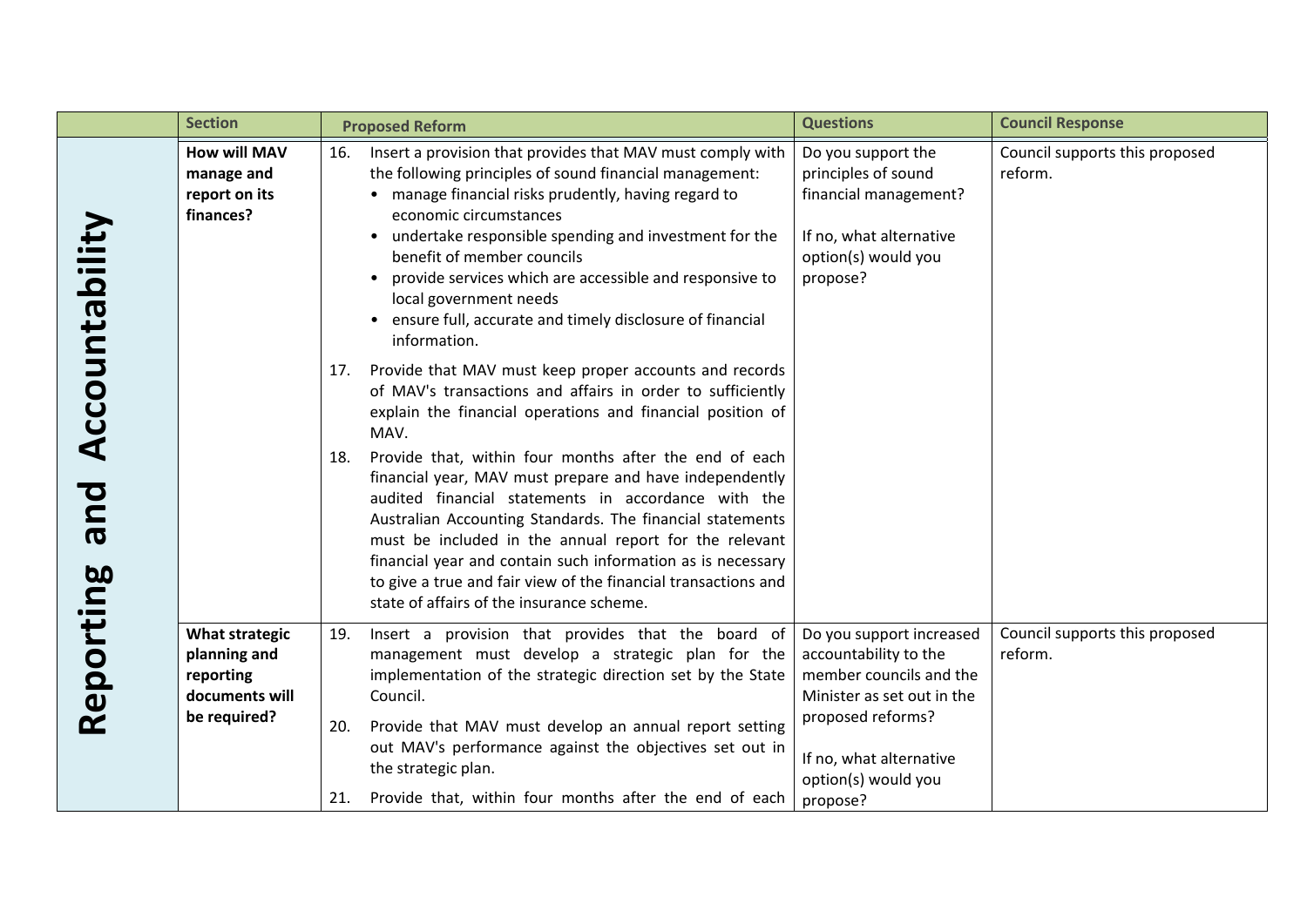|                                    | <b>Section</b>                                                                       | <b>Proposed Reform</b>                                                                                                                                                                                                                                                                                                                                                                                                                                                                                                                                                                                                                                                                 | <b>Questions</b>                                                                                                                                                                              | <b>Council Response</b>                   |
|------------------------------------|--------------------------------------------------------------------------------------|----------------------------------------------------------------------------------------------------------------------------------------------------------------------------------------------------------------------------------------------------------------------------------------------------------------------------------------------------------------------------------------------------------------------------------------------------------------------------------------------------------------------------------------------------------------------------------------------------------------------------------------------------------------------------------------|-----------------------------------------------------------------------------------------------------------------------------------------------------------------------------------------------|-------------------------------------------|
| Accountability<br>bue<br>Reporting | <b>How will MAV</b><br>manage and<br>report on its<br>finances?                      | Insert a provision that provides that MAV must comply with<br>16.<br>the following principles of sound financial management:<br>• manage financial risks prudently, having regard to<br>economic circumstances<br>undertake responsible spending and investment for the<br>$\bullet$<br>benefit of member councils<br>provide services which are accessible and responsive to<br>$\bullet$<br>local government needs<br>• ensure full, accurate and timely disclosure of financial<br>information.                                                                                                                                                                                     | Do you support the<br>principles of sound<br>financial management?<br>If no, what alternative<br>option(s) would you<br>propose?                                                              | Council supports this proposed<br>reform. |
|                                    |                                                                                      | 17. Provide that MAV must keep proper accounts and records<br>of MAV's transactions and affairs in order to sufficiently<br>explain the financial operations and financial position of<br>MAV.<br>Provide that, within four months after the end of each<br>18.<br>financial year, MAV must prepare and have independently<br>audited financial statements in accordance with the<br>Australian Accounting Standards. The financial statements<br>must be included in the annual report for the relevant<br>financial year and contain such information as is necessary<br>to give a true and fair view of the financial transactions and<br>state of affairs of the insurance scheme. |                                                                                                                                                                                               |                                           |
|                                    | <b>What strategic</b><br>planning and<br>reporting<br>documents will<br>be required? | Insert a provision that provides that the board of<br>19.<br>management must develop a strategic plan for the<br>implementation of the strategic direction set by the State<br>Council.<br>Provide that MAV must develop an annual report setting<br>20.<br>out MAV's performance against the objectives set out in<br>the strategic plan.<br>21. Provide that, within four months after the end of each                                                                                                                                                                                                                                                                               | Do you support increased<br>accountability to the<br>member councils and the<br>Minister as set out in the<br>proposed reforms?<br>If no, what alternative<br>option(s) would you<br>propose? | Council supports this proposed<br>reform. |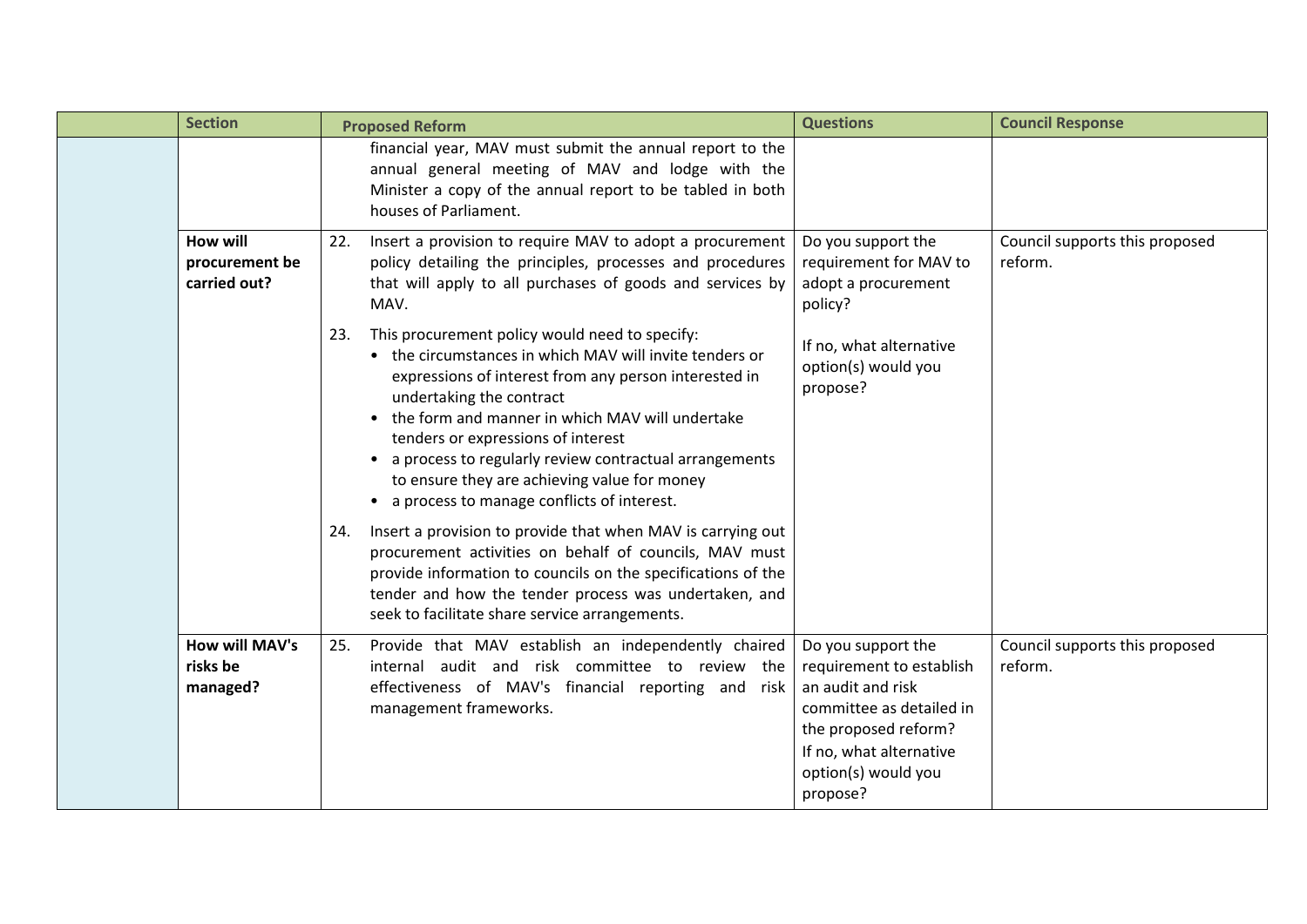|  | <b>Section</b>                                    | <b>Proposed Reform</b>                                                                                                                                                                                                                                                                                                                                                                                                                                 | <b>Questions</b>                                                                                                                                                                      | <b>Council Response</b>                   |
|--|---------------------------------------------------|--------------------------------------------------------------------------------------------------------------------------------------------------------------------------------------------------------------------------------------------------------------------------------------------------------------------------------------------------------------------------------------------------------------------------------------------------------|---------------------------------------------------------------------------------------------------------------------------------------------------------------------------------------|-------------------------------------------|
|  |                                                   | financial year, MAV must submit the annual report to the<br>annual general meeting of MAV and lodge with the<br>Minister a copy of the annual report to be tabled in both<br>houses of Parliament.                                                                                                                                                                                                                                                     |                                                                                                                                                                                       |                                           |
|  | <b>How will</b><br>procurement be<br>carried out? | Insert a provision to require MAV to adopt a procurement<br>22.<br>policy detailing the principles, processes and procedures<br>that will apply to all purchases of goods and services by<br>MAV.                                                                                                                                                                                                                                                      | Do you support the<br>requirement for MAV to<br>adopt a procurement<br>policy?                                                                                                        | Council supports this proposed<br>reform. |
|  |                                                   | This procurement policy would need to specify:<br>23.<br>the circumstances in which MAV will invite tenders or<br>expressions of interest from any person interested in<br>undertaking the contract<br>the form and manner in which MAV will undertake<br>tenders or expressions of interest<br>a process to regularly review contractual arrangements<br>to ensure they are achieving value for money<br>• a process to manage conflicts of interest. | If no, what alternative<br>option(s) would you<br>propose?                                                                                                                            |                                           |
|  |                                                   | Insert a provision to provide that when MAV is carrying out<br>24.<br>procurement activities on behalf of councils, MAV must<br>provide information to councils on the specifications of the<br>tender and how the tender process was undertaken, and<br>seek to facilitate share service arrangements.                                                                                                                                                |                                                                                                                                                                                       |                                           |
|  | How will MAV's<br>risks be<br>managed?            | Provide that MAV establish an independently chaired<br>25.<br>internal audit and risk committee to review the<br>effectiveness of MAV's financial reporting and risk<br>management frameworks.                                                                                                                                                                                                                                                         | Do you support the<br>requirement to establish<br>an audit and risk<br>committee as detailed in<br>the proposed reform?<br>If no, what alternative<br>option(s) would you<br>propose? | Council supports this proposed<br>reform. |